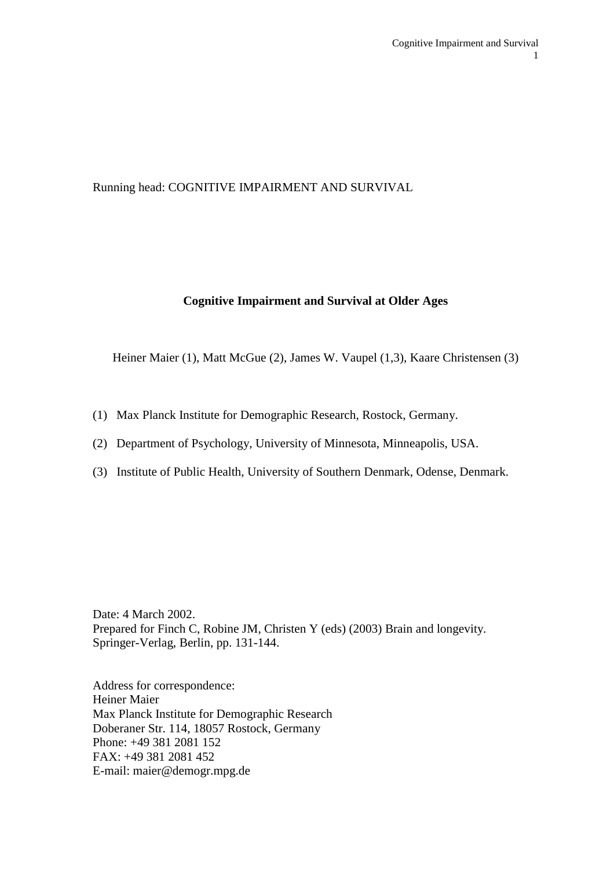## Running head: COGNITIVE IMPAIRMENT AND SURVIVAL

## **Cognitive Impairment and Survival at Older Ages**

Heiner Maier (1), Matt McGue (2), James W. Vaupel (1,3), Kaare Christensen (3)

- (1) Max Planck Institute for Demographic Research, Rostock, Germany.
- (2) Department of Psychology, University of Minnesota, Minneapolis, USA.
- (3) Institute of Public Health, University of Southern Denmark, Odense, Denmark.

Date: 4 March 2002. Prepared for Finch C, Robine JM, Christen Y (eds) (2003) Brain and longevity. Springer-Verlag, Berlin, pp. 131-144.

Address for correspondence: Heiner Maier Max Planck Institute for Demographic Research Doberaner Str. 114, 18057 Rostock, Germany Phone: +49 381 2081 152 FAX: +49 381 2081 452 E-mail: maier@demogr.mpg.de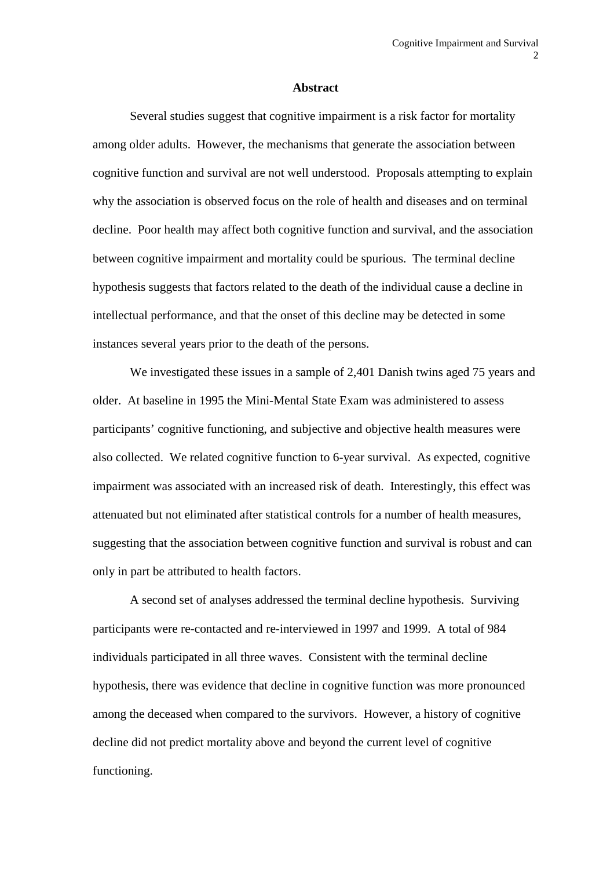### **Abstract**

Several studies suggest that cognitive impairment is a risk factor for mortality among older adults. However, the mechanisms that generate the association between cognitive function and survival are not well understood. Proposals attempting to explain why the association is observed focus on the role of health and diseases and on terminal decline. Poor health may affect both cognitive function and survival, and the association between cognitive impairment and mortality could be spurious. The terminal decline hypothesis suggests that factors related to the death of the individual cause a decline in intellectual performance, and that the onset of this decline may be detected in some instances several years prior to the death of the persons.

We investigated these issues in a sample of 2,401 Danish twins aged 75 years and older. At baseline in 1995 the Mini-Mental State Exam was administered to assess participants' cognitive functioning, and subjective and objective health measures were also collected. We related cognitive function to 6-year survival. As expected, cognitive impairment was associated with an increased risk of death. Interestingly, this effect was attenuated but not eliminated after statistical controls for a number of health measures, suggesting that the association between cognitive function and survival is robust and can only in part be attributed to health factors.

A second set of analyses addressed the terminal decline hypothesis. Surviving participants were re-contacted and re-interviewed in 1997 and 1999. A total of 984 individuals participated in all three waves. Consistent with the terminal decline hypothesis, there was evidence that decline in cognitive function was more pronounced among the deceased when compared to the survivors. However, a history of cognitive decline did not predict mortality above and beyond the current level of cognitive functioning.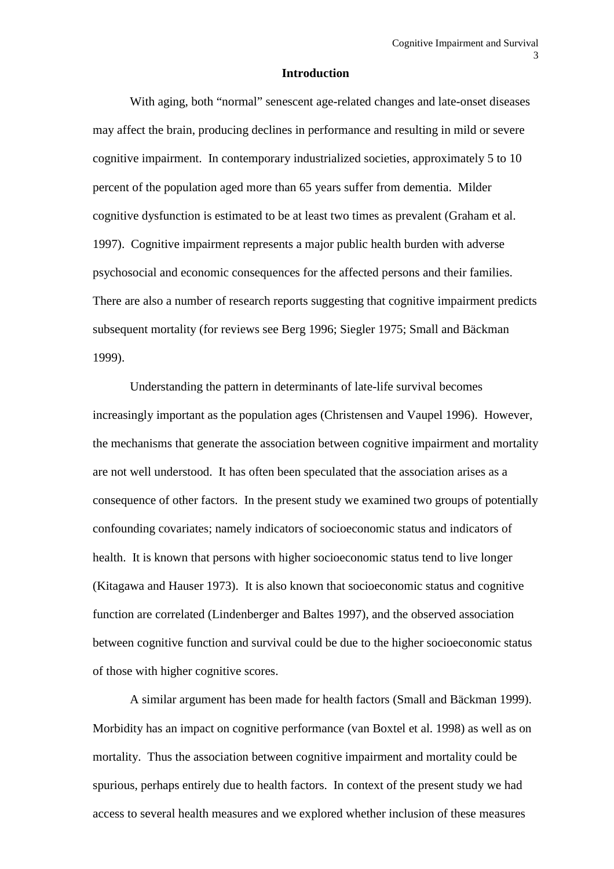### **Introduction**

With aging, both "normal" senescent age-related changes and late-onset diseases may affect the brain, producing declines in performance and resulting in mild or severe cognitive impairment. In contemporary industrialized societies, approximately 5 to 10 percent of the population aged more than 65 years suffer from dementia. Milder cognitive dysfunction is estimated to be at least two times as prevalent (Graham et al. 1997). Cognitive impairment represents a major public health burden with adverse psychosocial and economic consequences for the affected persons and their families. There are also a number of research reports suggesting that cognitive impairment predicts subsequent mortality (for reviews see Berg 1996; Siegler 1975; Small and Bäckman 1999).

Understanding the pattern in determinants of late-life survival becomes increasingly important as the population ages (Christensen and Vaupel 1996). However, the mechanisms that generate the association between cognitive impairment and mortality are not well understood. It has often been speculated that the association arises as a consequence of other factors. In the present study we examined two groups of potentially confounding covariates; namely indicators of socioeconomic status and indicators of health. It is known that persons with higher socioeconomic status tend to live longer (Kitagawa and Hauser 1973). It is also known that socioeconomic status and cognitive function are correlated (Lindenberger and Baltes 1997), and the observed association between cognitive function and survival could be due to the higher socioeconomic status of those with higher cognitive scores.

A similar argument has been made for health factors (Small and Bäckman 1999). Morbidity has an impact on cognitive performance (van Boxtel et al. 1998) as well as on mortality. Thus the association between cognitive impairment and mortality could be spurious, perhaps entirely due to health factors. In context of the present study we had access to several health measures and we explored whether inclusion of these measures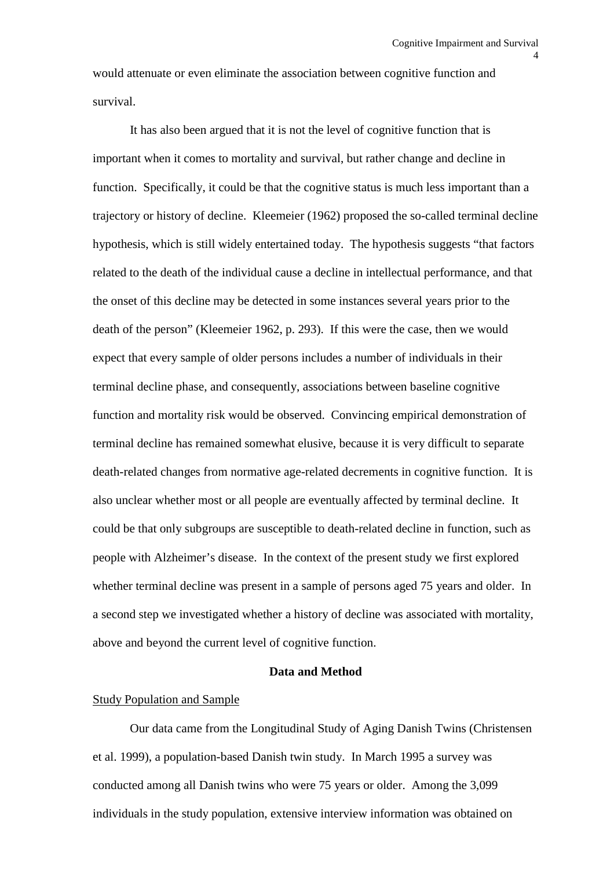would attenuate or even eliminate the association between cognitive function and survival.

It has also been argued that it is not the level of cognitive function that is important when it comes to mortality and survival, but rather change and decline in function. Specifically, it could be that the cognitive status is much less important than a trajectory or history of decline. Kleemeier (1962) proposed the so-called terminal decline hypothesis, which is still widely entertained today. The hypothesis suggests "that factors related to the death of the individual cause a decline in intellectual performance, and that the onset of this decline may be detected in some instances several years prior to the death of the person" (Kleemeier 1962, p. 293). If this were the case, then we would expect that every sample of older persons includes a number of individuals in their terminal decline phase, and consequently, associations between baseline cognitive function and mortality risk would be observed. Convincing empirical demonstration of terminal decline has remained somewhat elusive, because it is very difficult to separate death-related changes from normative age-related decrements in cognitive function. It is also unclear whether most or all people are eventually affected by terminal decline. It could be that only subgroups are susceptible to death-related decline in function, such as people with Alzheimer's disease. In the context of the present study we first explored whether terminal decline was present in a sample of persons aged 75 years and older. In a second step we investigated whether a history of decline was associated with mortality, above and beyond the current level of cognitive function.

### **Data and Method**

## Study Population and Sample

Our data came from the Longitudinal Study of Aging Danish Twins (Christensen et al. 1999), a population-based Danish twin study. In March 1995 a survey was conducted among all Danish twins who were 75 years or older. Among the 3,099 individuals in the study population, extensive interview information was obtained on

4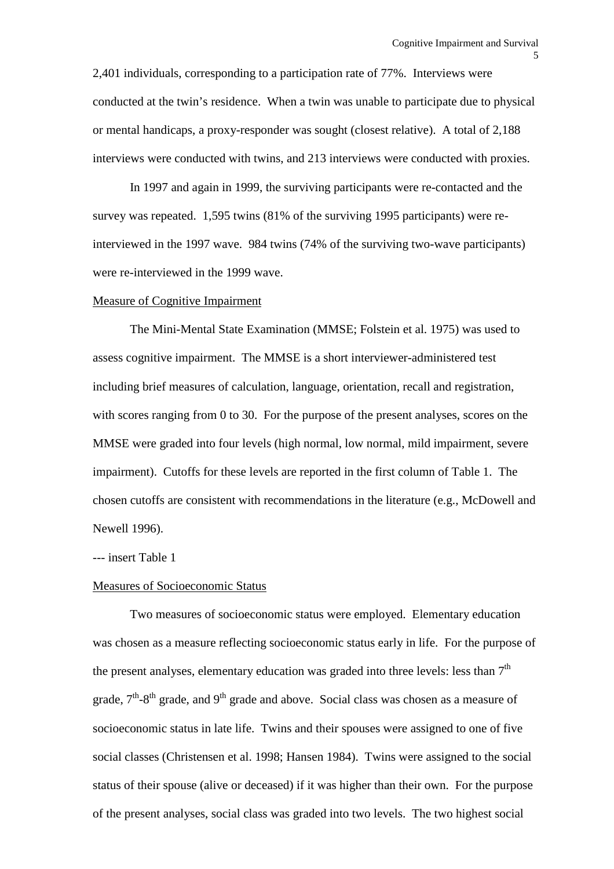2,401 individuals, corresponding to a participation rate of 77%. Interviews were conducted at the twin's residence. When a twin was unable to participate due to physical or mental handicaps, a proxy-responder was sought (closest relative). A total of 2,188 interviews were conducted with twins, and 213 interviews were conducted with proxies.

In 1997 and again in 1999, the surviving participants were re-contacted and the survey was repeated. 1,595 twins (81% of the surviving 1995 participants) were reinterviewed in the 1997 wave. 984 twins (74% of the surviving two-wave participants) were re-interviewed in the 1999 wave.

#### Measure of Cognitive Impairment

The Mini-Mental State Examination (MMSE; Folstein et al. 1975) was used to assess cognitive impairment. The MMSE is a short interviewer-administered test including brief measures of calculation, language, orientation, recall and registration, with scores ranging from 0 to 30. For the purpose of the present analyses, scores on the MMSE were graded into four levels (high normal, low normal, mild impairment, severe impairment). Cutoffs for these levels are reported in the first column of Table 1. The chosen cutoffs are consistent with recommendations in the literature (e.g., McDowell and Newell 1996).

--- insert Table 1

#### Measures of Socioeconomic Status

Two measures of socioeconomic status were employed. Elementary education was chosen as a measure reflecting socioeconomic status early in life. For the purpose of the present analyses, elementary education was graded into three levels: less than  $7<sup>th</sup>$ grade,  $7<sup>th</sup> - 8<sup>th</sup>$  grade, and 9<sup>th</sup> grade and above. Social class was chosen as a measure of socioeconomic status in late life. Twins and their spouses were assigned to one of five social classes (Christensen et al. 1998; Hansen 1984). Twins were assigned to the social status of their spouse (alive or deceased) if it was higher than their own. For the purpose of the present analyses, social class was graded into two levels. The two highest social

5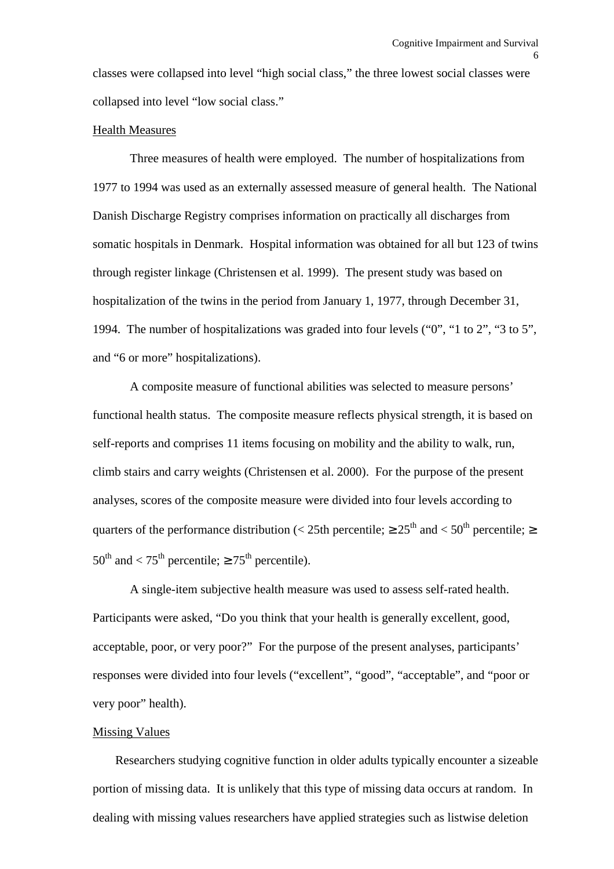classes were collapsed into level "high social class," the three lowest social classes were collapsed into level "low social class."

### Health Measures

Three measures of health were employed. The number of hospitalizations from 1977 to 1994 was used as an externally assessed measure of general health. The National Danish Discharge Registry comprises information on practically all discharges from somatic hospitals in Denmark. Hospital information was obtained for all but 123 of twins through register linkage (Christensen et al. 1999). The present study was based on hospitalization of the twins in the period from January 1, 1977, through December 31, 1994. The number of hospitalizations was graded into four levels ("0", "1 to 2", "3 to 5", and "6 or more" hospitalizations).

A composite measure of functional abilities was selected to measure persons' functional health status. The composite measure reflects physical strength, it is based on self-reports and comprises 11 items focusing on mobility and the ability to walk, run, climb stairs and carry weights (Christensen et al. 2000). For the purpose of the present analyses, scores of the composite measure were divided into four levels according to quarters of the performance distribution (< 25th percentile;  $\geq 25^{th}$  and < 50<sup>th</sup> percentile;  $\geq$  $50^{th}$  and  $\lt 75^{th}$  percentile;  $\geq 75^{th}$  percentile).

A single-item subjective health measure was used to assess self-rated health. Participants were asked, "Do you think that your health is generally excellent, good, acceptable, poor, or very poor?" For the purpose of the present analyses, participants' responses were divided into four levels ("excellent", "good", "acceptable", and "poor or very poor" health).

### Missing Values

Researchers studying cognitive function in older adults typically encounter a sizeable portion of missing data. It is unlikely that this type of missing data occurs at random. In dealing with missing values researchers have applied strategies such as listwise deletion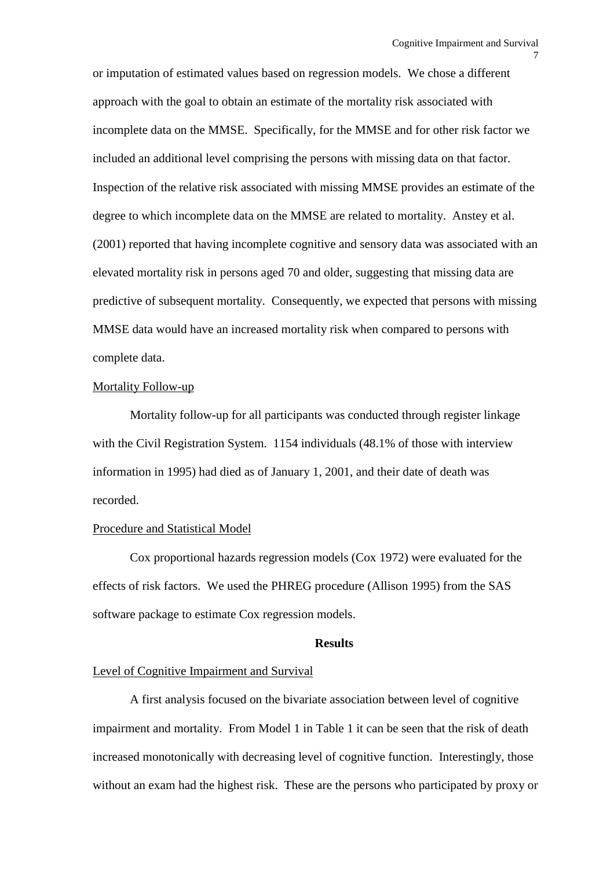or imputation of estimated values based on regression models. We chose a different approach with the goal to obtain an estimate of the mortality risk associated with incomplete data on the MMSE. Specifically, for the MMSE and for other risk factor we included an additional level comprising the persons with missing data on that factor. Inspection of the relative risk associated with missing MMSE provides an estimate of the degree to which incomplete data on the MMSE are related to mortality. Anstey et al. (2001) reported that having incomplete cognitive and sensory data was associated with an elevated mortality risk in persons aged 70 and older, suggesting that missing data are predictive of subsequent mortality. Consequently, we expected that persons with missing MMSE data would have an increased mortality risk when compared to persons with complete data.

### Mortality Follow-up

Mortality follow-up for all participants was conducted through register linkage with the Civil Registration System. 1154 individuals (48.1% of those with interview information in 1995) had died as of January 1, 2001, and their date of death was recorded.

### Procedure and Statistical Model

Cox proportional hazards regression models (Cox 1972) were evaluated for the effects of risk factors. We used the PHREG procedure (Allison 1995) from the SAS software package to estimate Cox regression models.

### **Results**

### Level of Cognitive Impairment and Survival

A first analysis focused on the bivariate association between level of cognitive impairment and mortality. From Model 1 in Table 1 it can be seen that the risk of death increased monotonically with decreasing level of cognitive function. Interestingly, those without an exam had the highest risk. These are the persons who participated by proxy or

7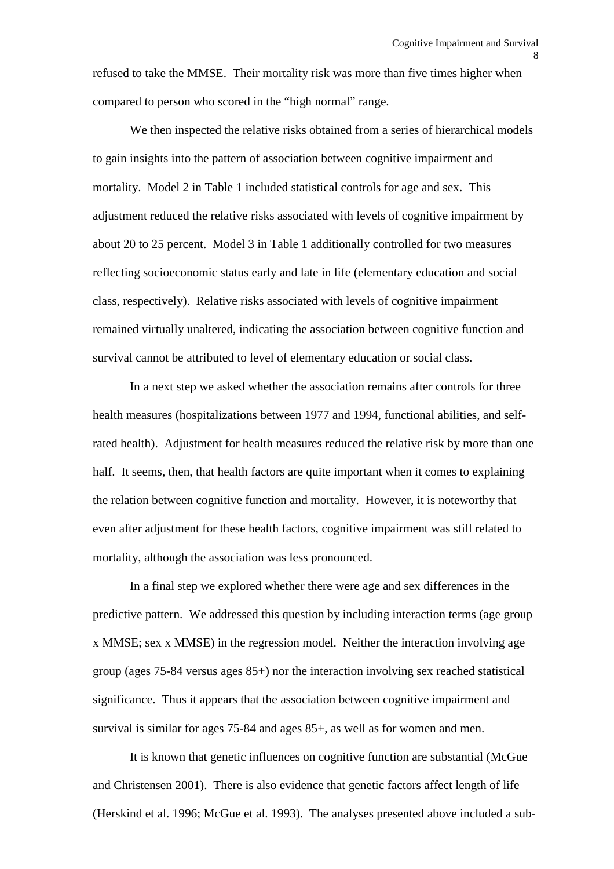refused to take the MMSE. Their mortality risk was more than five times higher when compared to person who scored in the "high normal" range.

We then inspected the relative risks obtained from a series of hierarchical models to gain insights into the pattern of association between cognitive impairment and mortality. Model 2 in Table 1 included statistical controls for age and sex. This adjustment reduced the relative risks associated with levels of cognitive impairment by about 20 to 25 percent. Model 3 in Table 1 additionally controlled for two measures reflecting socioeconomic status early and late in life (elementary education and social class, respectively). Relative risks associated with levels of cognitive impairment remained virtually unaltered, indicating the association between cognitive function and survival cannot be attributed to level of elementary education or social class.

In a next step we asked whether the association remains after controls for three health measures (hospitalizations between 1977 and 1994, functional abilities, and selfrated health). Adjustment for health measures reduced the relative risk by more than one half. It seems, then, that health factors are quite important when it comes to explaining the relation between cognitive function and mortality. However, it is noteworthy that even after adjustment for these health factors, cognitive impairment was still related to mortality, although the association was less pronounced.

In a final step we explored whether there were age and sex differences in the predictive pattern. We addressed this question by including interaction terms (age group x MMSE; sex x MMSE) in the regression model. Neither the interaction involving age group (ages 75-84 versus ages 85+) nor the interaction involving sex reached statistical significance. Thus it appears that the association between cognitive impairment and survival is similar for ages 75-84 and ages 85+, as well as for women and men.

It is known that genetic influences on cognitive function are substantial (McGue and Christensen 2001). There is also evidence that genetic factors affect length of life (Herskind et al. 1996; McGue et al. 1993). The analyses presented above included a sub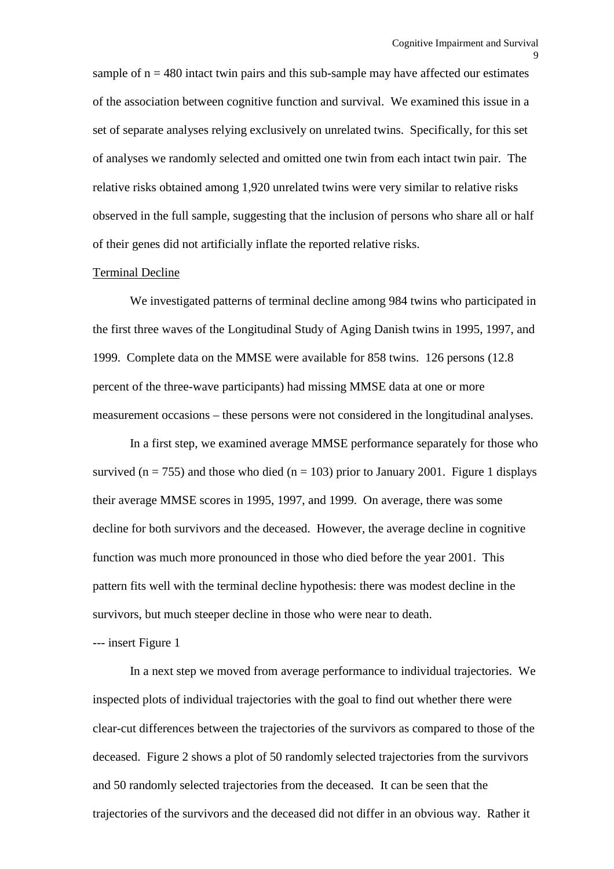sample of  $n = 480$  intact twin pairs and this sub-sample may have affected our estimates of the association between cognitive function and survival. We examined this issue in a set of separate analyses relying exclusively on unrelated twins. Specifically, for this set of analyses we randomly selected and omitted one twin from each intact twin pair. The relative risks obtained among 1,920 unrelated twins were very similar to relative risks observed in the full sample, suggesting that the inclusion of persons who share all or half of their genes did not artificially inflate the reported relative risks.

### Terminal Decline

We investigated patterns of terminal decline among 984 twins who participated in the first three waves of the Longitudinal Study of Aging Danish twins in 1995, 1997, and 1999. Complete data on the MMSE were available for 858 twins. 126 persons (12.8 percent of the three-wave participants) had missing MMSE data at one or more measurement occasions – these persons were not considered in the longitudinal analyses.

In a first step, we examined average MMSE performance separately for those who survived ( $n = 755$ ) and those who died ( $n = 103$ ) prior to January 2001. Figure 1 displays their average MMSE scores in 1995, 1997, and 1999. On average, there was some decline for both survivors and the deceased. However, the average decline in cognitive function was much more pronounced in those who died before the year 2001. This pattern fits well with the terminal decline hypothesis: there was modest decline in the survivors, but much steeper decline in those who were near to death.

### --- insert Figure 1

In a next step we moved from average performance to individual trajectories. We inspected plots of individual trajectories with the goal to find out whether there were clear-cut differences between the trajectories of the survivors as compared to those of the deceased. Figure 2 shows a plot of 50 randomly selected trajectories from the survivors and 50 randomly selected trajectories from the deceased. It can be seen that the trajectories of the survivors and the deceased did not differ in an obvious way. Rather it

9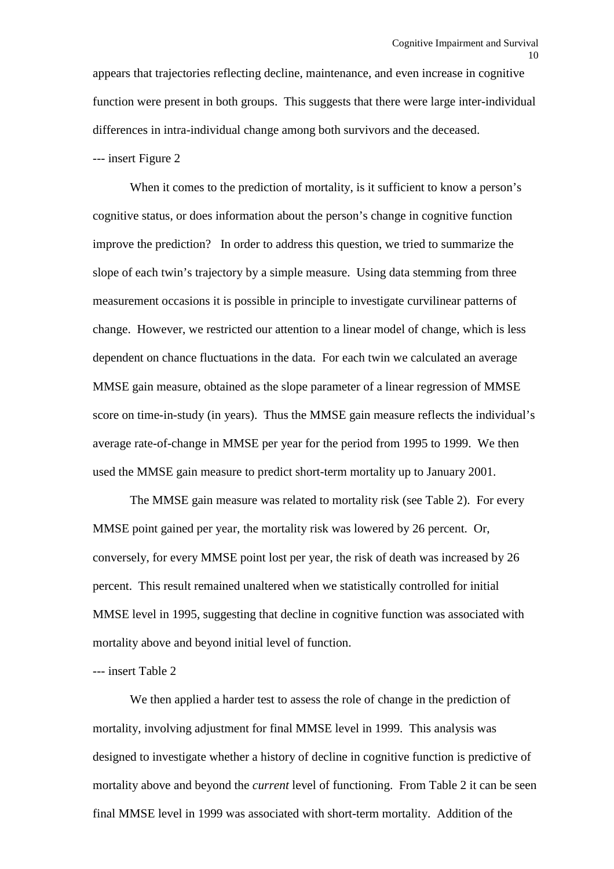appears that trajectories reflecting decline, maintenance, and even increase in cognitive function were present in both groups. This suggests that there were large inter-individual differences in intra-individual change among both survivors and the deceased.

## --- insert Figure 2

When it comes to the prediction of mortality, is it sufficient to know a person's cognitive status, or does information about the person's change in cognitive function improve the prediction? In order to address this question, we tried to summarize the slope of each twin's trajectory by a simple measure. Using data stemming from three measurement occasions it is possible in principle to investigate curvilinear patterns of change. However, we restricted our attention to a linear model of change, which is less dependent on chance fluctuations in the data. For each twin we calculated an average MMSE gain measure, obtained as the slope parameter of a linear regression of MMSE score on time-in-study (in years). Thus the MMSE gain measure reflects the individual's average rate-of-change in MMSE per year for the period from 1995 to 1999. We then used the MMSE gain measure to predict short-term mortality up to January 2001.

The MMSE gain measure was related to mortality risk (see Table 2). For every MMSE point gained per year, the mortality risk was lowered by 26 percent. Or, conversely, for every MMSE point lost per year, the risk of death was increased by 26 percent. This result remained unaltered when we statistically controlled for initial MMSE level in 1995, suggesting that decline in cognitive function was associated with mortality above and beyond initial level of function.

### --- insert Table 2

We then applied a harder test to assess the role of change in the prediction of mortality, involving adjustment for final MMSE level in 1999. This analysis was designed to investigate whether a history of decline in cognitive function is predictive of mortality above and beyond the *current* level of functioning. From Table 2 it can be seen final MMSE level in 1999 was associated with short-term mortality. Addition of the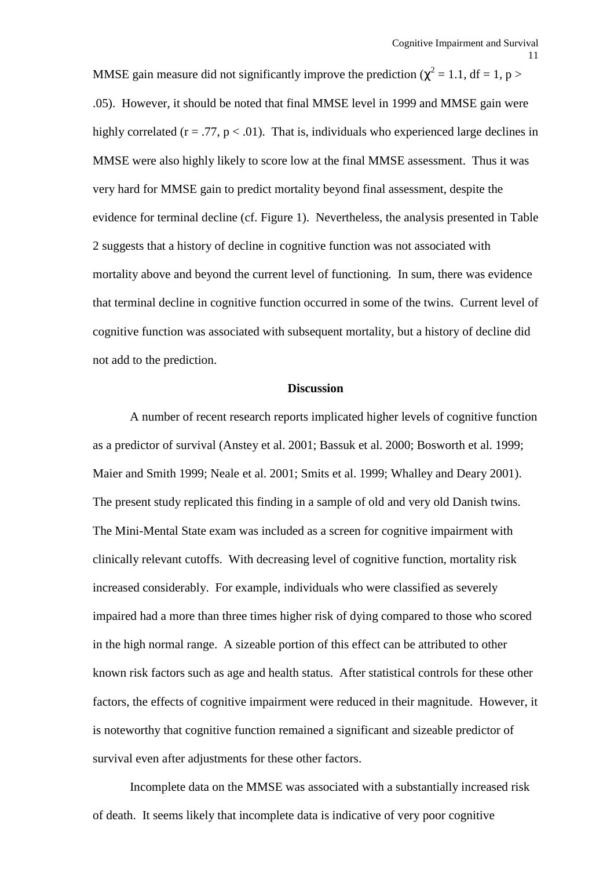MMSE gain measure did not significantly improve the prediction ( $\chi^2 = 1.1$ , df = 1, p > .05). However, it should be noted that final MMSE level in 1999 and MMSE gain were highly correlated ( $r = .77$ ,  $p < .01$ ). That is, individuals who experienced large declines in MMSE were also highly likely to score low at the final MMSE assessment. Thus it was very hard for MMSE gain to predict mortality beyond final assessment, despite the evidence for terminal decline (cf. Figure 1). Nevertheless, the analysis presented in Table 2 suggests that a history of decline in cognitive function was not associated with mortality above and beyond the current level of functioning. In sum, there was evidence that terminal decline in cognitive function occurred in some of the twins. Current level of cognitive function was associated with subsequent mortality, but a history of decline did not add to the prediction.

### **Discussion**

A number of recent research reports implicated higher levels of cognitive function as a predictor of survival (Anstey et al. 2001; Bassuk et al. 2000; Bosworth et al. 1999; Maier and Smith 1999; Neale et al. 2001; Smits et al. 1999; Whalley and Deary 2001). The present study replicated this finding in a sample of old and very old Danish twins. The Mini-Mental State exam was included as a screen for cognitive impairment with clinically relevant cutoffs. With decreasing level of cognitive function, mortality risk increased considerably. For example, individuals who were classified as severely impaired had a more than three times higher risk of dying compared to those who scored in the high normal range. A sizeable portion of this effect can be attributed to other known risk factors such as age and health status. After statistical controls for these other factors, the effects of cognitive impairment were reduced in their magnitude. However, it is noteworthy that cognitive function remained a significant and sizeable predictor of survival even after adjustments for these other factors.

Incomplete data on the MMSE was associated with a substantially increased risk of death. It seems likely that incomplete data is indicative of very poor cognitive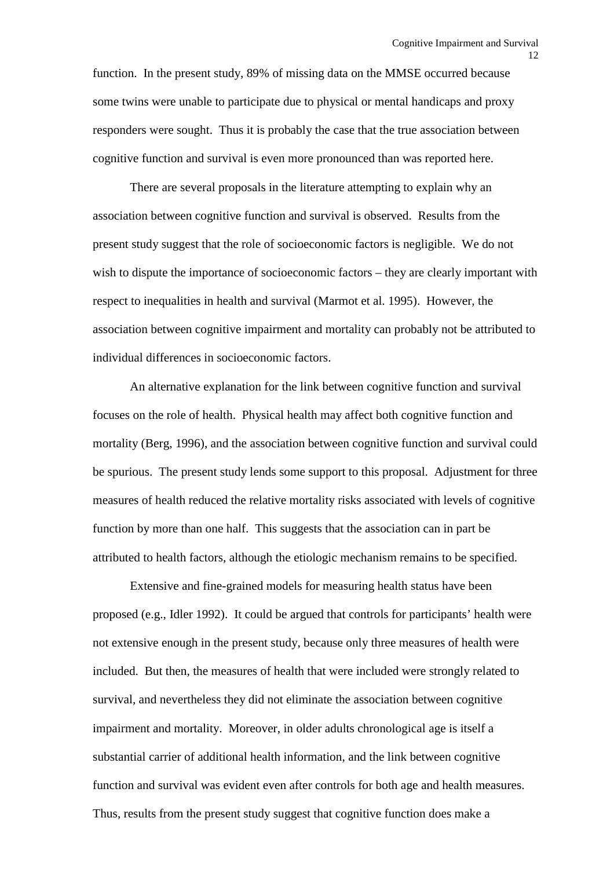function. In the present study, 89% of missing data on the MMSE occurred because some twins were unable to participate due to physical or mental handicaps and proxy responders were sought. Thus it is probably the case that the true association between cognitive function and survival is even more pronounced than was reported here.

There are several proposals in the literature attempting to explain why an association between cognitive function and survival is observed. Results from the present study suggest that the role of socioeconomic factors is negligible. We do not wish to dispute the importance of socioeconomic factors – they are clearly important with respect to inequalities in health and survival (Marmot et al. 1995). However, the association between cognitive impairment and mortality can probably not be attributed to individual differences in socioeconomic factors.

An alternative explanation for the link between cognitive function and survival focuses on the role of health. Physical health may affect both cognitive function and mortality (Berg, 1996), and the association between cognitive function and survival could be spurious. The present study lends some support to this proposal. Adjustment for three measures of health reduced the relative mortality risks associated with levels of cognitive function by more than one half. This suggests that the association can in part be attributed to health factors, although the etiologic mechanism remains to be specified.

Extensive and fine-grained models for measuring health status have been proposed (e.g., Idler 1992). It could be argued that controls for participants' health were not extensive enough in the present study, because only three measures of health were included. But then, the measures of health that were included were strongly related to survival, and nevertheless they did not eliminate the association between cognitive impairment and mortality. Moreover, in older adults chronological age is itself a substantial carrier of additional health information, and the link between cognitive function and survival was evident even after controls for both age and health measures. Thus, results from the present study suggest that cognitive function does make a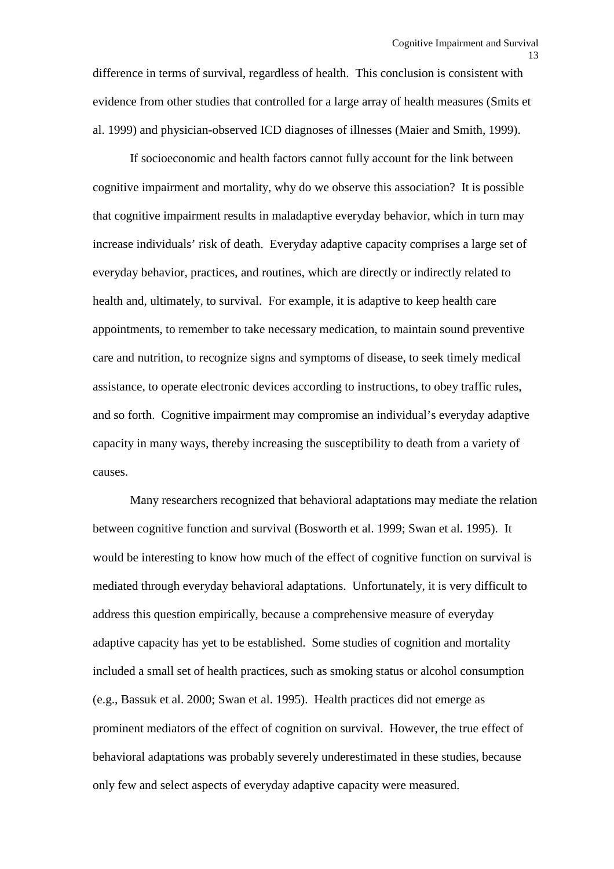difference in terms of survival, regardless of health. This conclusion is consistent with evidence from other studies that controlled for a large array of health measures (Smits et al. 1999) and physician-observed ICD diagnoses of illnesses (Maier and Smith, 1999).

If socioeconomic and health factors cannot fully account for the link between cognitive impairment and mortality, why do we observe this association? It is possible that cognitive impairment results in maladaptive everyday behavior, which in turn may increase individuals' risk of death. Everyday adaptive capacity comprises a large set of everyday behavior, practices, and routines, which are directly or indirectly related to health and, ultimately, to survival. For example, it is adaptive to keep health care appointments, to remember to take necessary medication, to maintain sound preventive care and nutrition, to recognize signs and symptoms of disease, to seek timely medical assistance, to operate electronic devices according to instructions, to obey traffic rules, and so forth. Cognitive impairment may compromise an individual's everyday adaptive capacity in many ways, thereby increasing the susceptibility to death from a variety of causes.

Many researchers recognized that behavioral adaptations may mediate the relation between cognitive function and survival (Bosworth et al. 1999; Swan et al. 1995). It would be interesting to know how much of the effect of cognitive function on survival is mediated through everyday behavioral adaptations. Unfortunately, it is very difficult to address this question empirically, because a comprehensive measure of everyday adaptive capacity has yet to be established. Some studies of cognition and mortality included a small set of health practices, such as smoking status or alcohol consumption (e.g., Bassuk et al. 2000; Swan et al. 1995). Health practices did not emerge as prominent mediators of the effect of cognition on survival. However, the true effect of behavioral adaptations was probably severely underestimated in these studies, because only few and select aspects of everyday adaptive capacity were measured.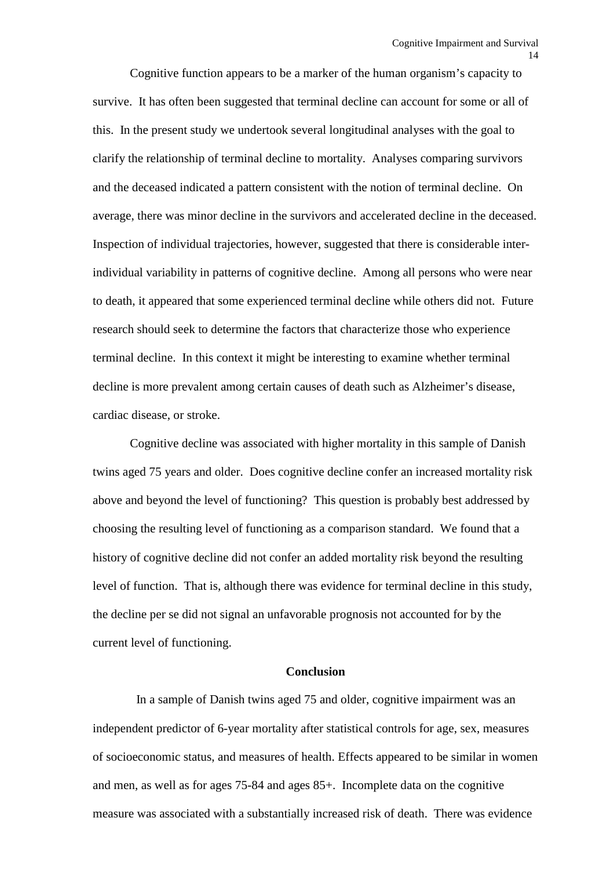Cognitive function appears to be a marker of the human organism's capacity to survive. It has often been suggested that terminal decline can account for some or all of this. In the present study we undertook several longitudinal analyses with the goal to clarify the relationship of terminal decline to mortality. Analyses comparing survivors and the deceased indicated a pattern consistent with the notion of terminal decline. On average, there was minor decline in the survivors and accelerated decline in the deceased. Inspection of individual trajectories, however, suggested that there is considerable interindividual variability in patterns of cognitive decline. Among all persons who were near to death, it appeared that some experienced terminal decline while others did not. Future research should seek to determine the factors that characterize those who experience terminal decline. In this context it might be interesting to examine whether terminal decline is more prevalent among certain causes of death such as Alzheimer's disease, cardiac disease, or stroke.

Cognitive decline was associated with higher mortality in this sample of Danish twins aged 75 years and older. Does cognitive decline confer an increased mortality risk above and beyond the level of functioning? This question is probably best addressed by choosing the resulting level of functioning as a comparison standard. We found that a history of cognitive decline did not confer an added mortality risk beyond the resulting level of function. That is, although there was evidence for terminal decline in this study, the decline per se did not signal an unfavorable prognosis not accounted for by the current level of functioning.

### **Conclusion**

 In a sample of Danish twins aged 75 and older, cognitive impairment was an independent predictor of 6-year mortality after statistical controls for age, sex, measures of socioeconomic status, and measures of health. Effects appeared to be similar in women and men, as well as for ages 75-84 and ages 85+. Incomplete data on the cognitive measure was associated with a substantially increased risk of death. There was evidence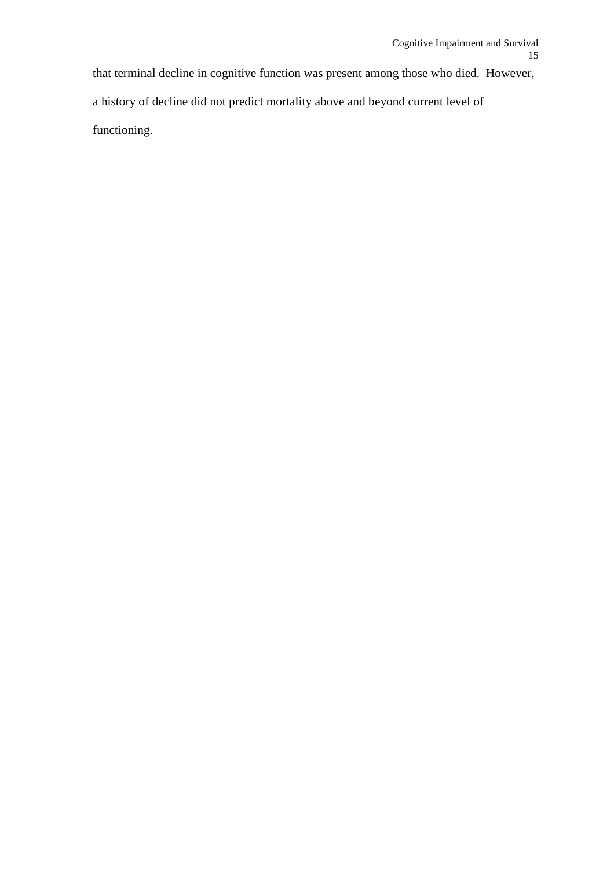that terminal decline in cognitive function was present among those who died. However, a history of decline did not predict mortality above and beyond current level of functioning.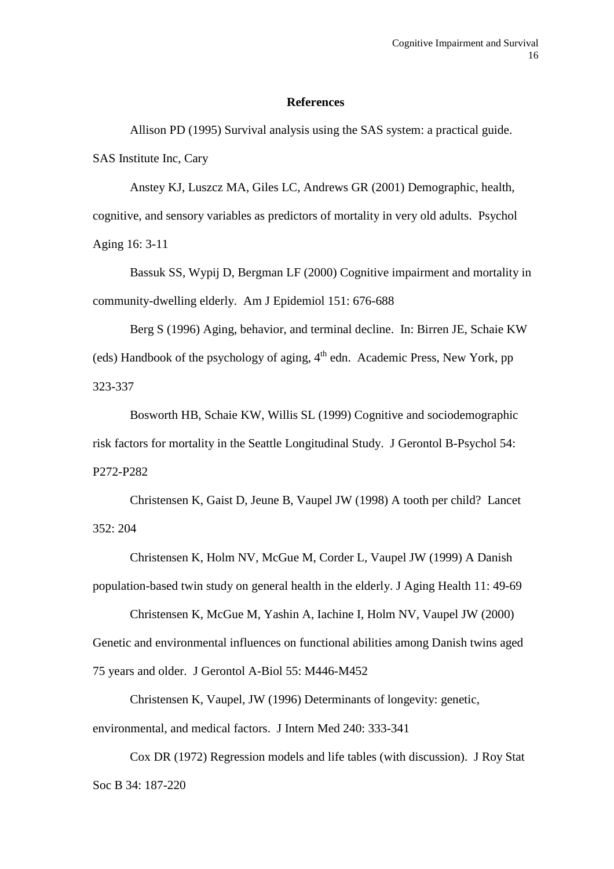### **References**

Allison PD (1995) Survival analysis using the SAS system: a practical guide. SAS Institute Inc, Cary

Anstey KJ, Luszcz MA, Giles LC, Andrews GR (2001) Demographic, health, cognitive, and sensory variables as predictors of mortality in very old adults. Psychol Aging 16: 3-11

Bassuk SS, Wypij D, Bergman LF (2000) Cognitive impairment and mortality in community-dwelling elderly. Am J Epidemiol 151: 676-688

Berg S (1996) Aging, behavior, and terminal decline. In: Birren JE, Schaie KW (eds) Handbook of the psychology of aging,  $4<sup>th</sup>$  edn. Academic Press, New York, pp 323-337

Bosworth HB, Schaie KW, Willis SL (1999) Cognitive and sociodemographic risk factors for mortality in the Seattle Longitudinal Study. J Gerontol B-Psychol 54: P272-P282

Christensen K, Gaist D, Jeune B, Vaupel JW (1998) A tooth per child? Lancet 352: 204

Christensen K, Holm NV, McGue M, Corder L, Vaupel JW (1999) A Danish population-based twin study on general health in the elderly. J Aging Health 11: 49-69

Christensen K, McGue M, Yashin A, Iachine I, Holm NV, Vaupel JW (2000) Genetic and environmental influences on functional abilities among Danish twins aged 75 years and older. J Gerontol A-Biol 55: M446-M452

Christensen K, Vaupel, JW (1996) Determinants of longevity: genetic, environmental, and medical factors. J Intern Med 240: 333-341

Cox DR (1972) Regression models and life tables (with discussion). J Roy Stat Soc B 34: 187-220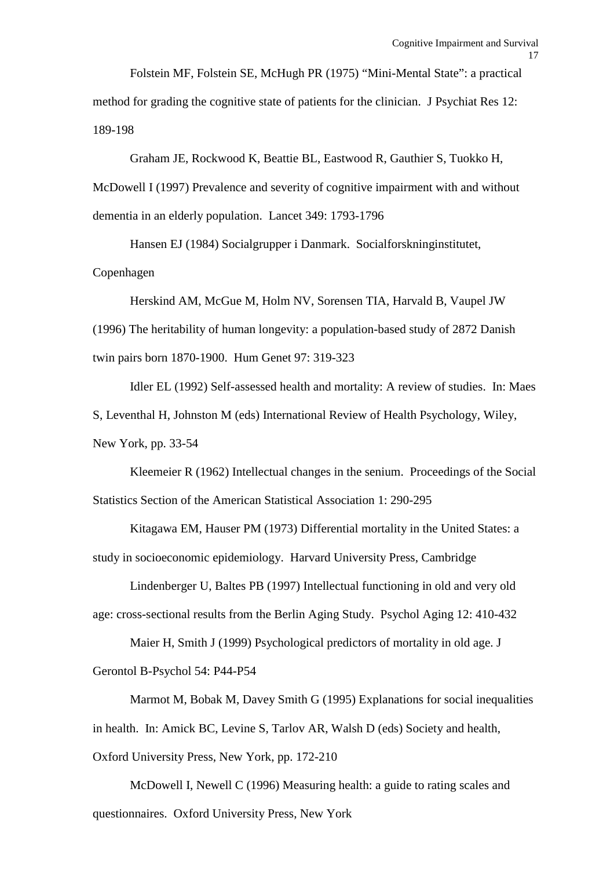Folstein MF, Folstein SE, McHugh PR (1975) "Mini-Mental State": a practical method for grading the cognitive state of patients for the clinician. J Psychiat Res 12: 189-198

Graham JE, Rockwood K, Beattie BL, Eastwood R, Gauthier S, Tuokko H, McDowell I (1997) Prevalence and severity of cognitive impairment with and without dementia in an elderly population. Lancet 349: 1793-1796

Hansen EJ (1984) Socialgrupper i Danmark. Socialforskninginstitutet, Copenhagen

Herskind AM, McGue M, Holm NV, Sorensen TIA, Harvald B, Vaupel JW (1996) The heritability of human longevity: a population-based study of 2872 Danish twin pairs born 1870-1900. Hum Genet 97: 319-323

Idler EL (1992) Self-assessed health and mortality: A review of studies. In: Maes S, Leventhal H, Johnston M (eds) International Review of Health Psychology, Wiley, New York, pp. 33-54

Kleemeier R (1962) Intellectual changes in the senium. Proceedings of the Social Statistics Section of the American Statistical Association 1: 290-295

Kitagawa EM, Hauser PM (1973) Differential mortality in the United States: a study in socioeconomic epidemiology. Harvard University Press, Cambridge

Lindenberger U, Baltes PB (1997) Intellectual functioning in old and very old age: cross-sectional results from the Berlin Aging Study. Psychol Aging 12: 410-432

Maier H, Smith J (1999) Psychological predictors of mortality in old age. J Gerontol B-Psychol 54: P44-P54

Marmot M, Bobak M, Davey Smith G (1995) Explanations for social inequalities in health. In: Amick BC, Levine S, Tarlov AR, Walsh D (eds) Society and health, Oxford University Press, New York, pp. 172-210

McDowell I, Newell C (1996) Measuring health: a guide to rating scales and questionnaires. Oxford University Press, New York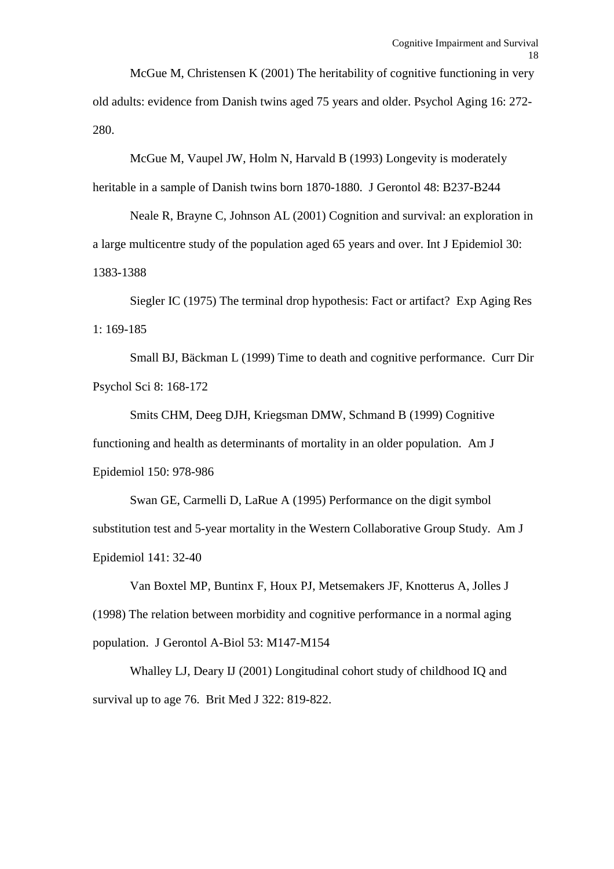McGue M, Christensen K (2001) The heritability of cognitive functioning in very old adults: evidence from Danish twins aged 75 years and older. Psychol Aging 16: 272- 280.

McGue M, Vaupel JW, Holm N, Harvald B (1993) Longevity is moderately heritable in a sample of Danish twins born 1870-1880. J Gerontol 48: B237-B244

Neale R, Brayne C, Johnson AL (2001) Cognition and survival: an exploration in a large multicentre study of the population aged 65 years and over. Int J Epidemiol 30: 1383-1388

Siegler IC (1975) The terminal drop hypothesis: Fact or artifact? Exp Aging Res 1: 169-185

Small BJ, Bäckman L (1999) Time to death and cognitive performance. Curr Dir Psychol Sci 8: 168-172

Smits CHM, Deeg DJH, Kriegsman DMW, Schmand B (1999) Cognitive functioning and health as determinants of mortality in an older population. Am J Epidemiol 150: 978-986

Swan GE, Carmelli D, LaRue A (1995) Performance on the digit symbol substitution test and 5-year mortality in the Western Collaborative Group Study. Am J Epidemiol 141: 32-40

Van Boxtel MP, Buntinx F, Houx PJ, Metsemakers JF, Knotterus A, Jolles J (1998) The relation between morbidity and cognitive performance in a normal aging population. J Gerontol A-Biol 53: M147-M154

Whalley LJ, Deary IJ (2001) Longitudinal cohort study of childhood IQ and survival up to age 76. Brit Med J 322: 819-822.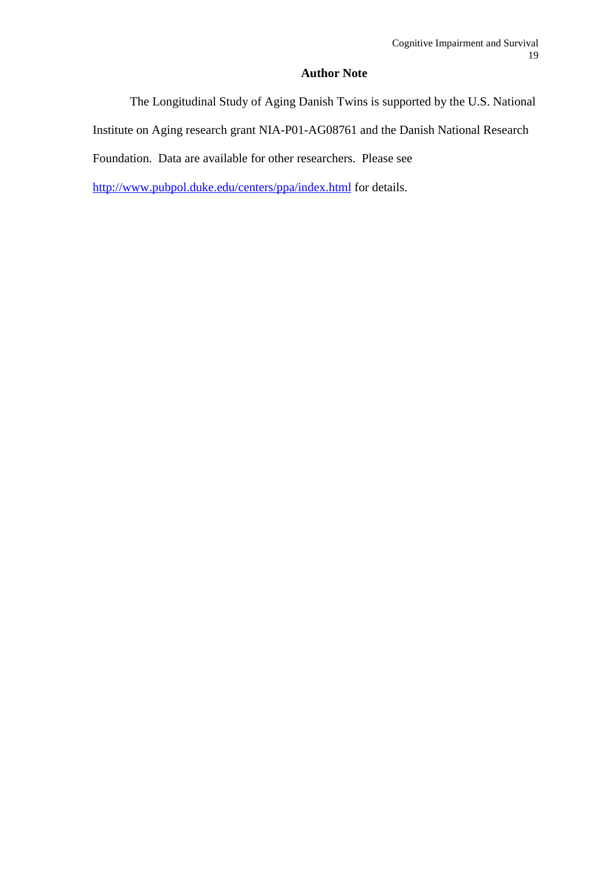# **Author Note**

The Longitudinal Study of Aging Danish Twins is supported by the U.S. National

Institute on Aging research grant NIA-P01-AG08761 and the Danish National Research

Foundation. Data are available for other researchers. Please see

http://www.pubpol.duke.edu/centers/ppa/index.html for details.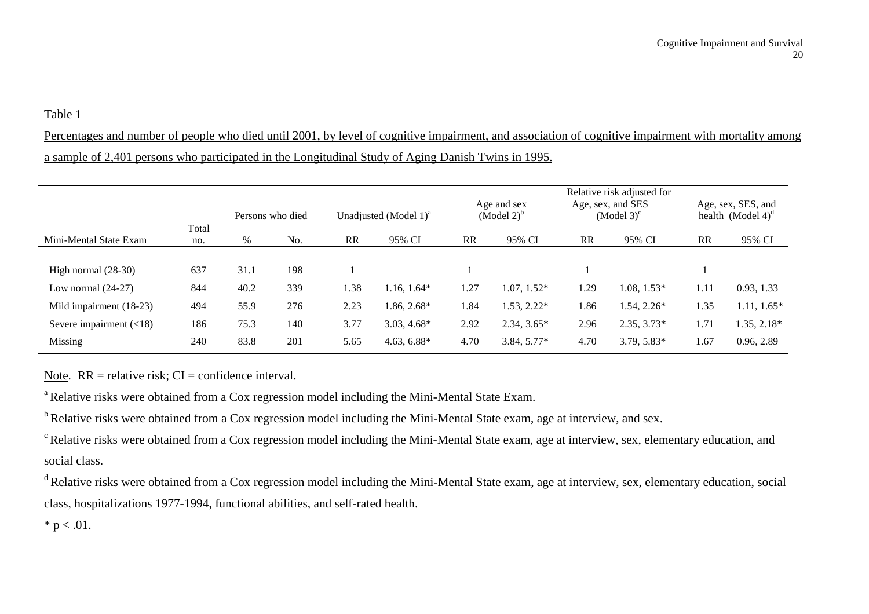## Table 1

Percentages and number of people who died until 2001, by level of cognitive impairment, and association of cognitive impairment with mortality among a sample of 2,401 persons who participated in the Longitudinal Study of Aging Danish Twins in 1995.

|                                          |              |                  |     |                                      |               | Relative risk adjusted for                   |               |                                                    |               |                                            |               |
|------------------------------------------|--------------|------------------|-----|--------------------------------------|---------------|----------------------------------------------|---------------|----------------------------------------------------|---------------|--------------------------------------------|---------------|
|                                          |              | Persons who died |     | Unadjusted (Model $1$ ) <sup>a</sup> |               | Age and sex<br>$\text{(Model 2)}^{\text{b}}$ |               | Age, sex, and SES<br>$\text{(Model 3)}^{\text{c}}$ |               | Age, sex, SES, and<br>health (Model $4)^d$ |               |
| Mini-Mental State Exam                   | Total<br>no. | $\%$             | No. | RR                                   | 95% CI        | <b>RR</b>                                    | 95% CI        | <b>RR</b>                                          | 95% CI        | RR                                         | 95% CI        |
|                                          |              |                  |     |                                      |               |                                              |               |                                                    |               |                                            |               |
| High normal $(28-30)$                    | 637          | 31.1             | 198 |                                      |               |                                              |               |                                                    |               |                                            |               |
| Low normal $(24-27)$                     | 844          | 40.2             | 339 | 1.38                                 | $1.16, 1.64*$ | 1.27                                         | $1.07, 1.52*$ | 1.29                                               | $1.08, 1.53*$ | 1.11                                       | 0.93, 1.33    |
| Mild impairment (18-23)                  | 494          | 55.9             | 276 | 2.23                                 | 1.86, 2.68*   | 1.84                                         | $1.53, 2.22*$ | 1.86                                               | 1.54, 2.26*   | 1.35                                       | $1.11, 1.65*$ |
| Severe impairment $(\langle 18 \rangle)$ | 186          | 75.3             | 140 | 3.77                                 | $3.03, 4.68*$ | 2.92                                         | $2.34, 3.65*$ | 2.96                                               | $2.35, 3.73*$ | 1.71                                       | 1.35, 2.18*   |
| Missing                                  | 240          | 83.8             | 201 | 5.65                                 | $4.63, 6.88*$ | 4.70                                         | $3.84, 5.77*$ | 4.70                                               | $3.79, 5.83*$ | 1.67                                       | 0.96, 2.89    |

Note.  $RR =$  relative risk;  $CI =$  confidence interval.

<sup>a</sup> Relative risks were obtained from a Cox regression model including the Mini-Mental State Exam.

<sup>b</sup> Relative risks were obtained from a Cox regression model including the Mini-Mental State exam, age at interview, and sex.

<sup>c</sup> Relative risks were obtained from a Cox regression model including the Mini-Mental State exam, age at interview, sex, elementary education, and social class.

<sup>d</sup> Relative risks were obtained from a Cox regression model including the Mini-Mental State exam, age at interview, sex, elementary education, social class, hospitalizations 1977-1994, functional abilities, and self-rated health.

\*  $p < .01$ .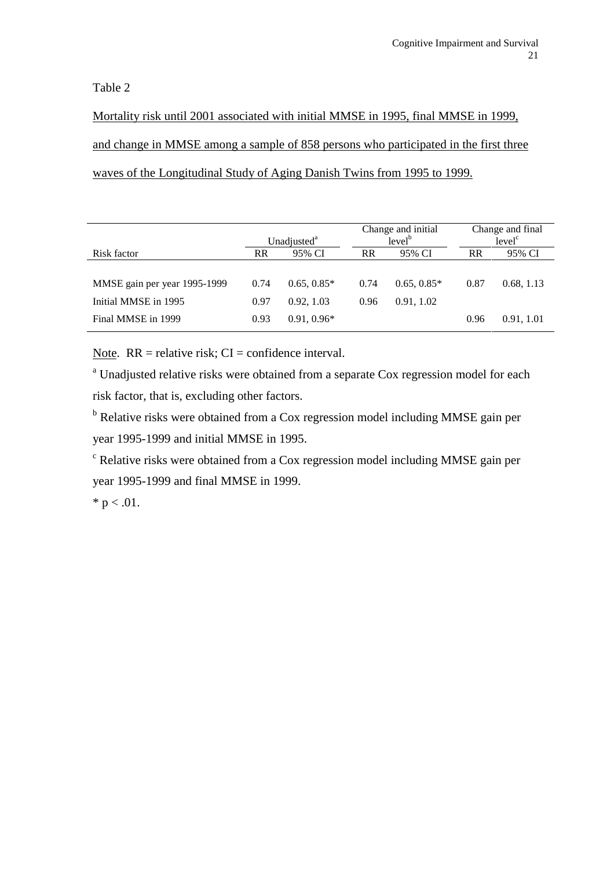Table 2

Mortality risk until 2001 associated with initial MMSE in 1995, final MMSE in 1999, and change in MMSE among a sample of 858 persons who participated in the first three waves of the Longitudinal Study of Aging Danish Twins from 1995 to 1999.

|                              | Unadjusted <sup>a</sup> |               |      | Change and initial<br>level <sup>b</sup> | Change and final<br>level <sup>c</sup> |            |  |
|------------------------------|-------------------------|---------------|------|------------------------------------------|----------------------------------------|------------|--|
| Risk factor                  | <b>RR</b>               | 95% CI        | RR   | 95% CI                                   | <b>RR</b>                              | 95% CI     |  |
| MMSE gain per year 1995-1999 | 0.74                    | $0.65, 0.85*$ | 0.74 | $0.65, 0.85*$                            | 0.87                                   | 0.68, 1.13 |  |
| Initial MMSE in 1995         | 0.97                    | 0.92, 1.03    | 0.96 | 0.91, 1.02                               |                                        |            |  |
| Final MMSE in 1999           | 0.93                    | $0.91, 0.96*$ |      |                                          | 0.96                                   | 0.91, 1.01 |  |

Note.  $RR =$  relative risk;  $CI =$  confidence interval.

<sup>a</sup> Unadjusted relative risks were obtained from a separate Cox regression model for each risk factor, that is, excluding other factors.

<sup>b</sup> Relative risks were obtained from a Cox regression model including MMSE gain per year 1995-1999 and initial MMSE in 1995.

<sup>c</sup> Relative risks were obtained from a Cox regression model including MMSE gain per year 1995-1999 and final MMSE in 1999.

 $* p < .01.$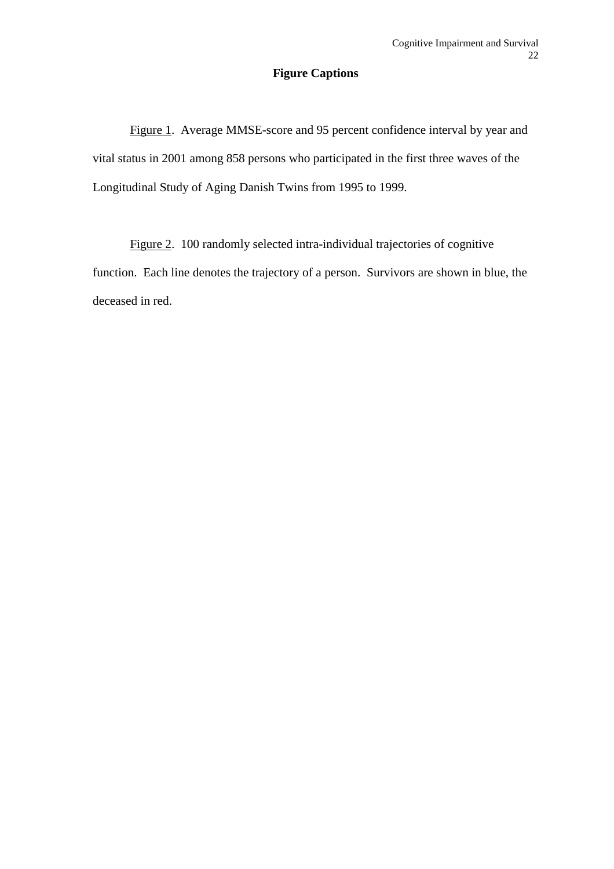# **Figure Captions**

Figure 1. Average MMSE-score and 95 percent confidence interval by year and vital status in 2001 among 858 persons who participated in the first three waves of the Longitudinal Study of Aging Danish Twins from 1995 to 1999.

Figure 2. 100 randomly selected intra-individual trajectories of cognitive function. Each line denotes the trajectory of a person. Survivors are shown in blue, the deceased in red.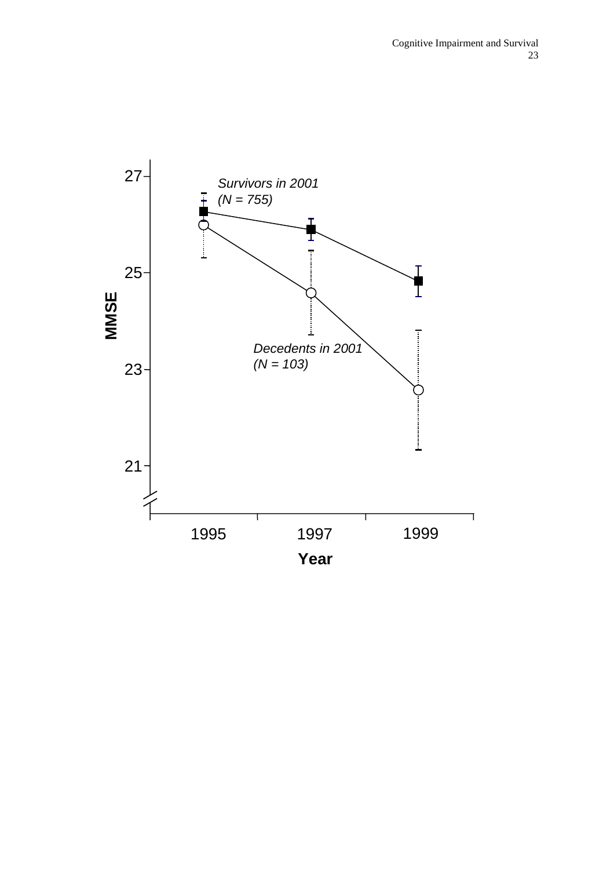